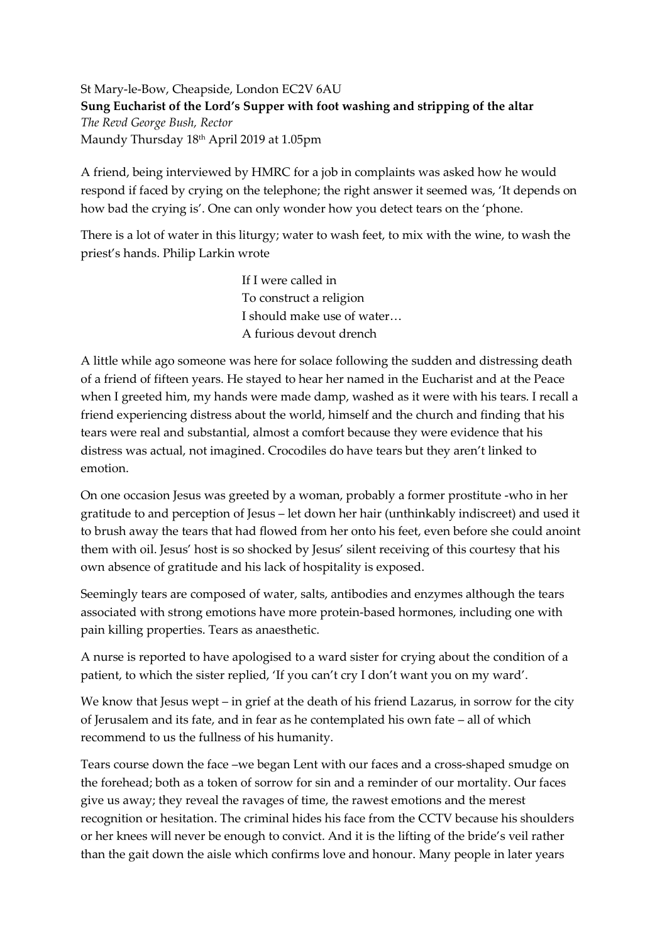St Mary-le-Bow, Cheapside, London EC2V 6AU **Sung Eucharist of the Lord's Supper with foot washing and stripping of the altar** *The Revd George Bush, Rector* Maundy Thursday 18<sup>th</sup> April 2019 at 1.05pm

A friend, being interviewed by HMRC for a job in complaints was asked how he would respond if faced by crying on the telephone; the right answer it seemed was, 'It depends on how bad the crying is'. One can only wonder how you detect tears on the 'phone.

There is a lot of water in this liturgy; water to wash feet, to mix with the wine, to wash the priest's hands. Philip Larkin wrote

> If I were called in To construct a religion I should make use of water… A furious devout drench

A little while ago someone was here for solace following the sudden and distressing death of a friend of fifteen years. He stayed to hear her named in the Eucharist and at the Peace when I greeted him, my hands were made damp, washed as it were with his tears. I recall a friend experiencing distress about the world, himself and the church and finding that his tears were real and substantial, almost a comfort because they were evidence that his distress was actual, not imagined. Crocodiles do have tears but they aren't linked to emotion.

On one occasion Jesus was greeted by a woman, probably a former prostitute -who in her gratitude to and perception of Jesus – let down her hair (unthinkably indiscreet) and used it to brush away the tears that had flowed from her onto his feet, even before she could anoint them with oil. Jesus' host is so shocked by Jesus' silent receiving of this courtesy that his own absence of gratitude and his lack of hospitality is exposed.

Seemingly tears are composed of water, salts, antibodies and enzymes although the tears associated with strong emotions have more protein-based hormones, including one with pain killing properties. Tears as anaesthetic.

A nurse is reported to have apologised to a ward sister for crying about the condition of a patient, to which the sister replied, 'If you can't cry I don't want you on my ward'.

We know that Jesus wept – in grief at the death of his friend Lazarus, in sorrow for the city of Jerusalem and its fate, and in fear as he contemplated his own fate – all of which recommend to us the fullness of his humanity.

Tears course down the face –we began Lent with our faces and a cross-shaped smudge on the forehead; both as a token of sorrow for sin and a reminder of our mortality. Our faces give us away; they reveal the ravages of time, the rawest emotions and the merest recognition or hesitation. The criminal hides his face from the CCTV because his shoulders or her knees will never be enough to convict. And it is the lifting of the bride's veil rather than the gait down the aisle which confirms love and honour. Many people in later years